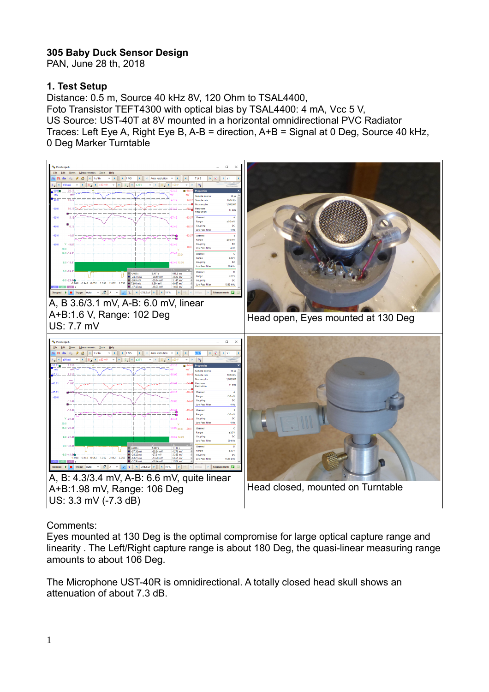## **305 Baby Duck Sensor Design**

PAN, June 28 th, 2018

## **1. Test Setup**

Distance: 0.5 m, Source 40 kHz 8V, 120 Ohm to TSAL4400, Foto Transistor TEFT4300 with optical bias by TSAL4400: 4 mA, Vcc 5 V, US Source: UST-40T at 8V mounted in a horizontal omnidirectional PVC Radiator Traces: Left Eye A, Right Eye B, A-B = direction, A+B = Signal at 0 Deg, Source 40 kHz, 0 Deg Marker Turntable



## Comments:

Eyes mounted at 130 Deg is the optimal compromise for large optical capture range and linearity . The Left/Right capture range is about 180 Deg, the quasi-linear measuring range amounts to about 106 Deg.

The Microphone UST-40R is omnidirectional. A totally closed head skull shows an attenuation of about 7.3 dB.